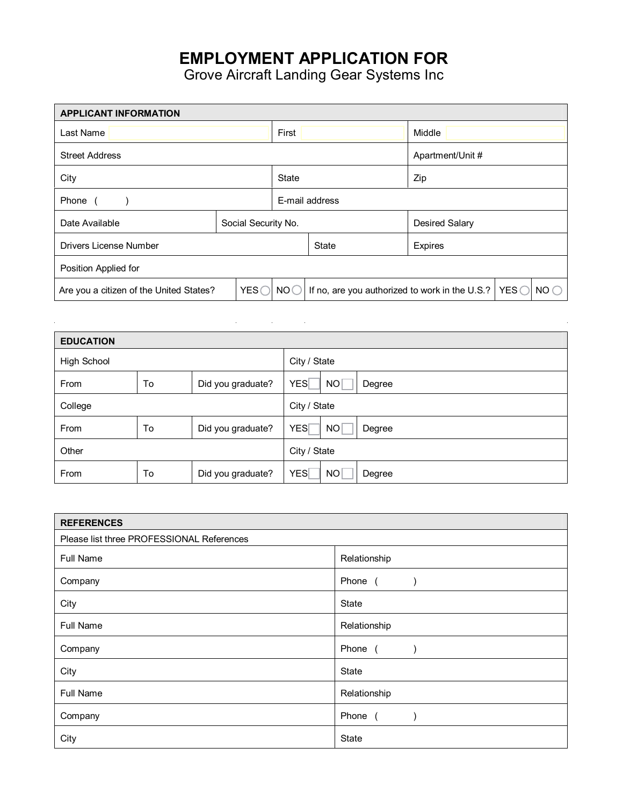## **EMPLOYMENT APPLICATION FOR**

Grove Aircraft Landing Gear Systems Inc

| <b>APPLICANT INFORMATION</b>                     |                     |                 |                                                                                   |                       |  |  |
|--------------------------------------------------|---------------------|-----------------|-----------------------------------------------------------------------------------|-----------------------|--|--|
| Last Name                                        |                     |                 |                                                                                   | Middle                |  |  |
| <b>Street Address</b>                            |                     |                 | Apartment/Unit #                                                                  |                       |  |  |
| City                                             |                     |                 |                                                                                   | Zip                   |  |  |
| Phone                                            |                     |                 | E-mail address                                                                    |                       |  |  |
| Date Available                                   | Social Security No. |                 |                                                                                   | <b>Desired Salary</b> |  |  |
| Drivers License Number                           |                     |                 | <b>State</b>                                                                      | <b>Expires</b>        |  |  |
| Position Applied for                             |                     |                 |                                                                                   |                       |  |  |
| YES (<br>Are you a citizen of the United States? |                     | NO <sub>C</sub> | NO <sub>O</sub><br>If no, are you authorized to work in the U.S.?   YES $\subset$ |                       |  |  |

| <b>EDUCATION</b>   |    |                   |                                         |  |  |
|--------------------|----|-------------------|-----------------------------------------|--|--|
| <b>High School</b> |    |                   | City / State                            |  |  |
| From               | To | Did you graduate? | <b>YES</b><br>NO <sub>1</sub><br>Degree |  |  |
| College            |    |                   | City / State                            |  |  |
| From               | To | Did you graduate? | <b>YES</b><br>NO <sub>1</sub><br>Degree |  |  |
| Other              |    |                   | City / State                            |  |  |
| From               | To | Did you graduate? | <b>YES</b><br>NO<br>Degree              |  |  |

| <b>REFERENCES</b>                         |              |  |  |
|-------------------------------------------|--------------|--|--|
| Please list three PROFESSIONAL References |              |  |  |
| Full Name                                 | Relationship |  |  |
| Company                                   | Phone (      |  |  |
| City                                      | State        |  |  |
| Full Name                                 | Relationship |  |  |
| Company                                   | Phone (      |  |  |
| City                                      | State        |  |  |
| Full Name                                 | Relationship |  |  |
| Company                                   | Phone (      |  |  |
| City                                      | State        |  |  |